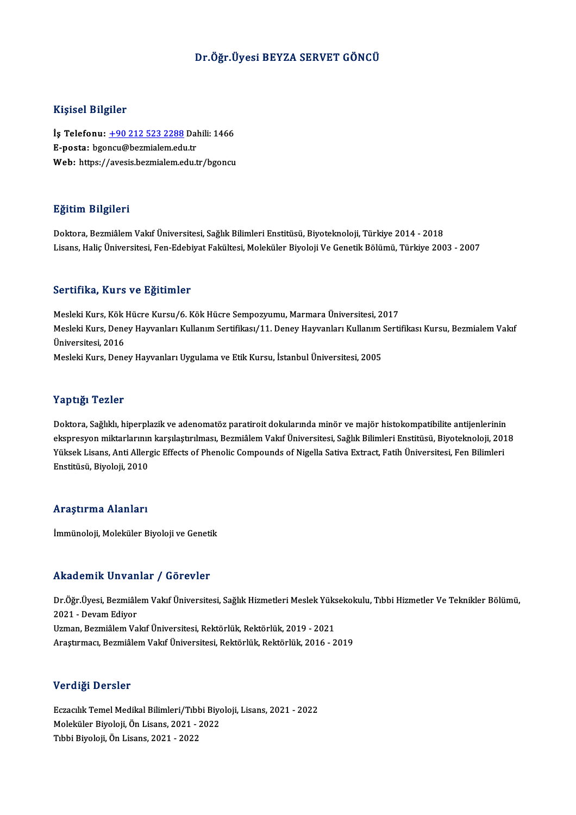## Dr.Öğr.Üyesi BEYZA SERVET GÖNCÜ

### Kişisel Bilgiler

Kişisel Bilgiler<br>İş Telefonu: <u>+90 212 523 2288</u> Dahili: 1466<br>E nasta: bsensu@bermialam.edu.tr Ingress Birgher<br>İş Telefonu: <u>+90 212 523 2288</u> Dal<br>E-posta: bgo[ncu@bezmialem.edu](tel:+90 212 523 2288).tr<br>Web: https://avesis.bezmialem.edu.tr İş Telefonu: <u>+90 212 523 2288</u> Dahili: 1466<br>E-posta: bgoncu@bezmialem.edu.tr<br>Web: https://avesis.bezmialem.edu.tr/bgoncu Web: https://avesis.bezmialem.edu.tr/bgoncu<br>Eğitim Bilgileri

Doktora, Bezmiâlem Vakıf Üniversitesi, Sağlık Bilimleri Enstitüsü, Biyoteknoloji, Türkiye 2014 - 2018 Lisans, Haliç Üniversitesi, Fen-Edebiyat Fakültesi, Moleküler Biyoloji Ve Genetik Bölümü, Türkiye 2003 - 2007

### Sertifika, Kurs ve Eğitimler

MeslekiKurs,KökHücreKursu/6.KökHücre Sempozyumu,MarmaraÜniversitesi,2017 Dör effikaj Karlo ve Egrenniol<br>Mesleki Kurs, Kök Hücre Kursu/6. Kök Hücre Sempozyumu, Marmara Üniversitesi, 2017<br>Mesleki Kurs, Deney Hayvanları Kullanım Sertifikası/11. Deney Hayvanları Kullanım Sertifikası Kursu, Bezmiale Mesleki Kurs, Kök<br>Mesleki Kurs, Dene<br>Üniversitesi, 2016<br>Mesleki Kurs, Dene Mesleki Kurs, Deney Hayvanları Kullanım Sertifikası/11. Deney Hayvanları Kullanım !<br>Üniversitesi, 2016<br>Mesleki Kurs, Deney Hayvanları Uygulama ve Etik Kursu, İstanbul Üniversitesi, 2005 Mesleki Kurs, Deney Hayvanları Uygulama ve Etik Kursu, İstanbul Üniversitesi, 2005<br>Yaptığı Tezler

Doktora, Sağlıklı, hiperplazik ve adenomatöz paratiroit dokularında minör ve majör histokompatibilite antijenlerinin ekspresyonmiktar<br>Doktora, Sağlıklı, hiperplazik ve adenomatöz paratiroit dokularında minör ve majör histokompatibilite antijenlerinin<br>Külsek Lisans, Anti Allergia Effects of Phanolic Compounds of Nigella Sative Extract, Fa Doktora, Sağlıklı, hiperplazik ve adenomatöz paratiroit dokularında minör ve majör histokompatibilite antijenlerinin<br>ekspresyon miktarlarının karşılaştırılması, Bezmiâlem Vakıf Üniversitesi, Sağlık Bilimleri Enstitüsü, Biy ekspresyon miktarlarının<br>Yüksek Lisans, Anti Aller<sub>i</sub><br>Enstitüsü, Biyoloji, 2010 Enstitüsü, Biyoloji, 2010<br>Araştırma Alanları

İmmünoloji, Moleküler Biyoloji ve Genetik

### Akademik Unvanlar / Görevler

**Akademik Unvanlar / Görevler**<br>Dr.Öğr.Üyesi, Bezmiâlem Vakıf Üniversitesi, Sağlık Hizmetleri Meslek Yüksekokulu, Tıbbi Hizmetler Ve Teknikler Bölümü,<br>2021 - Devam Ediyer 2021 - Devans Carl Carl<br>Dr.Öğr.Üyesi, Bezmiâle<br>2021 - Devam Ediyor<br>Uzman, Bezmiâlem Ve Dr.Öğr.Üyesi, Bezmiâlem Vakıf Üniversitesi, Sağlık Hizmetleri Meslek Yüks<br>2021 - Devam Ediyor<br>Uzman, Bezmiâlem Vakıf Üniversitesi, Rektörlük, Rektörlük, 2019 - 2021<br>Arastırmacı, Bezmiâlem Vakıf Üniversitesi, Bektörlük, Bek 2021 - Devam Ediyor<br>Uzman, Bezmiâlem Vakıf Üniversitesi, Rektörlük, Rektörlük, 2019 - 2021<br>Araştırmacı, Bezmiâlem Vakıf Üniversitesi, Rektörlük, Rektörlük, 2016 - 2019 Araştırmacı, Bezmiâlem Vakıf Üniversitesi, Rektörlük, Rektörlük, 2016 - 2019<br>Verdiği Dersler

Eczacılık Temel Medikal Bilimleri/Tıbbi Biyoloji, Lisans, 2021 - 2022 Vor digi<br>Bozacılık Temel Medikal Bilimleri/Tıbbi Biyo<br>Moleküler Biyoloji, Ön Lisans, 2021 - 2022<br>Tıbbi Biyoloji, Ön Lisans, 2021 - 2022 Eczacılık Temel Medikal Bilimleri/Tıbb<br>Moleküler Biyoloji, Ön Lisans, 2021 - 2<br>Tıbbi Biyoloji, Ön Lisans, 2021 - 2022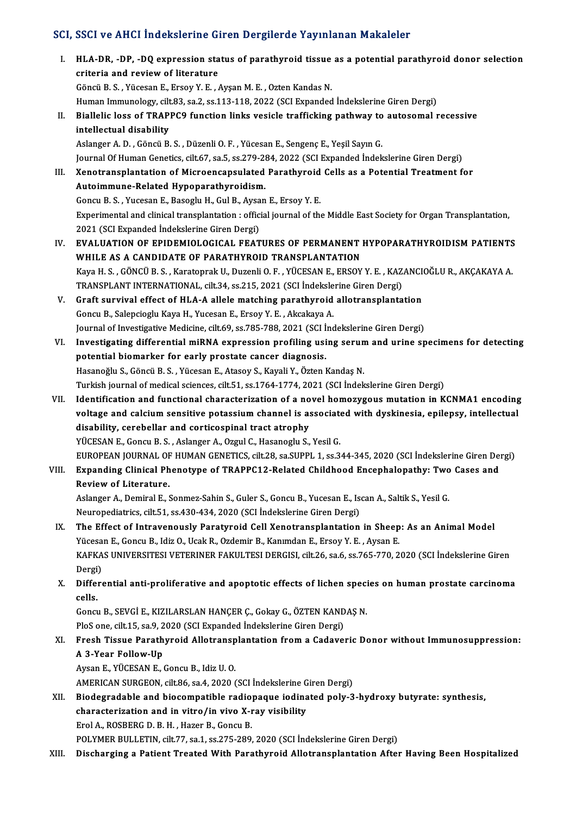# SCI, SSCI ve AHCI İndekslerine Giren Dergilerde Yayınlanan Makaleler<br>.

| SCI, SSCI ve AHCI Indekslerine Giren Dergilerde Yayınlanan Makaleler |                                                                                                                                          |  |
|----------------------------------------------------------------------|------------------------------------------------------------------------------------------------------------------------------------------|--|
| L                                                                    | HLA-DR, -DP, -DQ expression status of parathyroid tissue as a potential parathyroid donor selection<br>criteria and review of literature |  |
|                                                                      | Göncü B. S., Yücesan E., Ersoy Y. E., Ayşan M. E., Ozten Kandas N.                                                                       |  |
|                                                                      | Human Immunology, cilt.83, sa.2, ss.113-118, 2022 (SCI Expanded İndekslerine Giren Dergi)                                                |  |
| Н.                                                                   | Biallelic loss of TRAPPC9 function links vesicle trafficking pathway to autosomal recessive                                              |  |
|                                                                      | intellectual disability                                                                                                                  |  |
|                                                                      | Aslanger A. D., Göncü B. S., Düzenli O. F., Yücesan E., Sengenç E., Yeşil Sayın G.                                                       |  |
|                                                                      | Journal Of Human Genetics, cilt.67, sa.5, ss.279-284, 2022 (SCI Expanded İndekslerine Giren Dergi)                                       |  |
| III.                                                                 | Xenotransplantation of Microencapsulated Parathyroid Cells as a Potential Treatment for                                                  |  |
|                                                                      | Autoimmune-Related Hypoparathyroidism.                                                                                                   |  |
|                                                                      | Goncu B. S., Yucesan E., Basoglu H., Gul B., Aysan E., Ersoy Y. E.                                                                       |  |
|                                                                      | Experimental and clinical transplantation : official journal of the Middle East Society for Organ Transplantation,                       |  |
|                                                                      | 2021 (SCI Expanded İndekslerine Giren Dergi)                                                                                             |  |
| IV.                                                                  | EVALUATION OF EPIDEMIOLOGICAL FEATURES OF PERMANENT HYPOPARATHYROIDISM PATIENTS                                                          |  |
|                                                                      | WHILE AS A CANDIDATE OF PARATHYROID TRANSPLANTATION                                                                                      |  |
|                                                                      | Kaya H. S., GÖNCÜ B. S., Karatoprak U., Duzenli O. F., YÜCESAN E., ERSOY Y. E., KAZANCIOĞLU R., AKÇAKAYA A.                              |  |
|                                                                      | TRANSPLANT INTERNATIONAL, cilt.34, ss.215, 2021 (SCI İndekslerine Giren Dergi)                                                           |  |
| V.                                                                   | Graft survival effect of HLA-A allele matching parathyroid allotransplantation                                                           |  |
|                                                                      | Goncu B., Salepcioglu Kaya H., Yucesan E., Ersoy Y. E., Akcakaya A.                                                                      |  |
|                                                                      | Journal of Investigative Medicine, cilt.69, ss.785-788, 2021 (SCI İndekslerine Giren Dergi)                                              |  |
| VI.                                                                  | Investigating differential miRNA expression profiling using serum and urine specimens for detecting                                      |  |
|                                                                      | potential biomarker for early prostate cancer diagnosis.                                                                                 |  |
|                                                                      | Hasanoğlu S., Göncü B. S., Yücesan E., Atasoy S., Kayali Y., Özten Kandaş N.                                                             |  |
|                                                                      | Turkish journal of medical sciences, cilt.51, ss.1764-1774, 2021 (SCI İndekslerine Giren Dergi)                                          |  |
| VII.                                                                 | Identification and functional characterization of a novel homozygous mutation in KCNMA1 encoding                                         |  |
|                                                                      | voltage and calcium sensitive potassium channel is associated with dyskinesia, epilepsy, intellectual                                    |  |
|                                                                      | disability, cerebellar and corticospinal tract atrophy                                                                                   |  |
|                                                                      | YÜCESAN E., Goncu B. S., Aslanger A., Ozgul C., Hasanoglu S., Yesil G.                                                                   |  |
|                                                                      | EUROPEAN JOURNAL OF HUMAN GENETICS, cilt.28, sa.SUPPL 1, ss.344-345, 2020 (SCI İndekslerine Giren Dergi)                                 |  |
| VIII.                                                                | Expanding Clinical Phenotype of TRAPPC12-Related Childhood Encephalopathy: Two Cases and                                                 |  |
|                                                                      | Review of Literature.                                                                                                                    |  |
|                                                                      | Aslanger A., Demiral E., Sonmez-Sahin S., Guler S., Goncu B., Yucesan E., Iscan A., Saltik S., Yesil G.                                  |  |
|                                                                      | Neuropediatrics, cilt.51, ss.430-434, 2020 (SCI İndekslerine Giren Dergi)                                                                |  |
| IX.                                                                  | The Effect of Intravenously Paratyroid Cell Xenotransplantation in Sheep: As an Animal Model                                             |  |
|                                                                      | Yücesan E., Goncu B., Idiz O., Ucak R., Ozdemir B., Kanımdan E., Ersoy Y. E., Aysan E.                                                   |  |
|                                                                      | KAFKAS UNIVERSITESI VETERINER FAKULTESI DERGISI, cilt.26, sa.6, ss.765-770, 2020 (SCI İndekslerine Giren                                 |  |
|                                                                      | Dergi)                                                                                                                                   |  |
| X.                                                                   | Differential anti-proliferative and apoptotic effects of lichen species on human prostate carcinoma                                      |  |
|                                                                      | cells.                                                                                                                                   |  |
|                                                                      | Goncu B., SEVGİ E., KIZILARSLAN HANÇER Ç., Gokay G., ÖZTEN KANDAŞ N.                                                                     |  |
|                                                                      | PloS one, cilt.15, sa.9, 2020 (SCI Expanded İndekslerine Giren Dergi)                                                                    |  |
| XI.                                                                  | Fresh Tissue Parathyroid Allotransplantation from a Cadaveric Donor without Immunosuppression:                                           |  |
|                                                                      | A 3-Year Follow-Up                                                                                                                       |  |
|                                                                      | Aysan E., YÜCESAN E., Goncu B., Idiz U.O.                                                                                                |  |
|                                                                      | AMERICAN SURGEON, cilt.86, sa.4, 2020 (SCI İndekslerine Giren Dergi)                                                                     |  |
| XII.                                                                 | Biodegradable and biocompatible radiopaque iodinated poly-3-hydroxy butyrate: synthesis,                                                 |  |
|                                                                      | characterization and in vitro/in vivo X-ray visibility                                                                                   |  |
|                                                                      | Erol A., ROSBERG D. B. H., Hazer B., Goncu B.                                                                                            |  |
|                                                                      | POLYMER BULLETIN, cilt.77, sa.1, ss.275-289, 2020 (SCI İndekslerine Giren Dergi)                                                         |  |
| XIII.                                                                | Discharging a Patient Treated With Parathyroid Allotransplantation After Having Been Hospitalized                                        |  |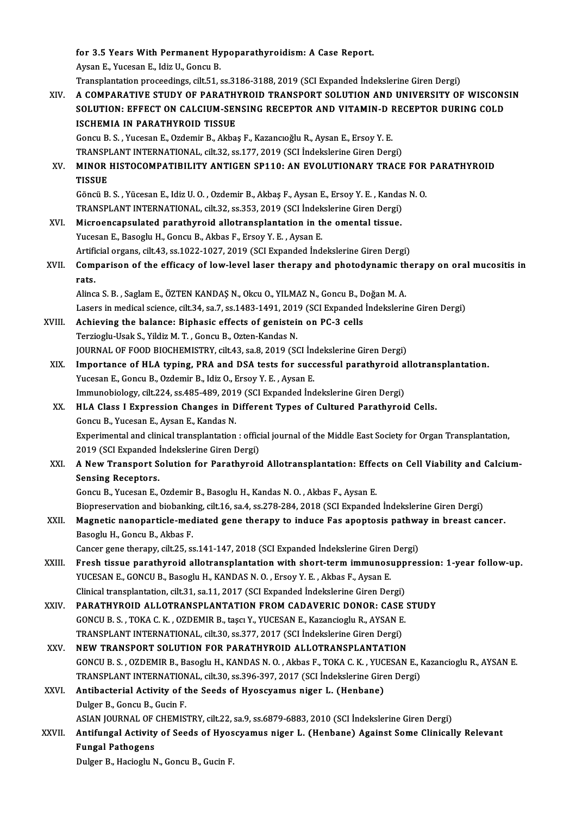for 3.5 Years With Permanent Hypoparathyroidism: A Case Report.<br>Aveap E. Yusseap E. Idia II, Copey B. **for 3.5 Years With Permanent Hy<br>Aysan E., Yucesan E., Idiz U., Goncu B.<br>Transplantation preseedings, sit 51, 6** Aysan E., Yucesan E., Idiz U., Goncu B.<br>Transplantation proceedings, cilt.51, ss.3186-3188, 2019 (SCI Expanded İndekslerine Giren Dergi) Aysan E., Yucesan E., Idiz U., Goncu B.<br>Transplantation proceedings, cilt.51, ss.3186-3188, 2019 (SCI Expanded Indekslerine Giren Dergi)<br>XIV. A COMPARATIVE STUDY OF PARATHYROID TRANSPORT SOLUTION AND UNIVERSITY OF WISC Transplantation proceedings, cilt.51, ss.3186-3188, 2019 (SCI Expanded İndekslerine Giren Dergi)<br>A COMPARATIVE STUDY OF PARATHYROID TRANSPORT SOLUTION AND UNIVERSITY OF WISCONS<br>SOLUTION: EFFECT ON CALCIUM-SENSING RECEPTOR A COMPARATIVE STUDY OF PARATH<br>SOLUTION: EFFECT ON CALCIUM-SEN<br>ISCHEMIA IN PARATHYROID TISSUE<br>Congu B.S., Vuccean E. Ordomir B. Akha SOLUTION: EFFECT ON CALCIUM-SENSING RECEPTOR AND VITAMIN-D I<br>ISCHEMIA IN PARATHYROID TISSUE<br>Goncu B. S. , Yucesan E., Ozdemir B., Akbaş F., Kazancıoğlu R., Aysan E., Ersoy Y. E.<br>TRANSPLANT INTERNATIONAL cilt 32-as 177-2019 ISCHEMIA IN PARATHYROID TISSUE<br>Goncu B. S. , Yucesan E., Ozdemir B., Akbaş F., Kazancıoğlu R., Aysan E., Ersoy Y. E.<br>TRANSPLANT INTERNATIONAL, cilt.32, ss.177, 2019 (SCI İndekslerine Giren Dergi)<br>MINOR HISTOCOMRATIRILITY A XV. MINOR HISTOCOMPATIBILITY ANTIGEN SP110: AN EVOLUTIONARY TRACE FOR PARATHYROID TRANSPLANT INTERNATIONAL, cilt.32, ss.177, 2019 (SCI Indekslerine Giren Dergi) MINOR HISTOCOMPATIBILITY ANTIGEN SP110: AN EVOLUTIONARY TRACE FOR<br>TISSUE<br>Göncü B. S. , Yücesan E., Idiz U. O. , Ozdemir B., Akbaş F., Aysan E., Ersoy Y. E. , Kandas N. O.<br>TRANSPLANT INTERNATIONAL . silt 32, ss.353, 2019 (S TISSUE<br>Göncü B. S. , Yücesan E., Idiz U. O. , Ozdemir B., Akbaş F., Aysan E., Ersoy Y. E. , Kanda:<br>TRANSPLANT INTERNATIONAL, cilt.32, ss.353, 2019 (SCI İndekslerine Giren Dergi)<br>Miaroonaanaulated narathuroid allatranaplant Göncü B. S. , Yücesan E., Idiz U. O. , Ozdemir B., Akbaş F., Aysan E., Ersoy Y. E. , Kanda<br>TRANSPLANT INTERNATIONAL, cilt.32, ss.353, 2019 (SCI İndekslerine Giren Dergi)<br>XVI. Microencapsulated parathyroid allotransplantati TRANSPLANT INTERNATIONAL, cilt.32, ss.353, 2019 (SCI Indekslerine Giren Dergi)<br>Microencapsulated parathyroid allotransplantation in the omental tissue.<br>Yucesan E., Basoglu H., Goncu B., Akbas F., Ersoy Y. E., Aysan E. Microencapsulated parathyroid allotransplantation in the omental tissue.<br>Yucesan E., Basoglu H., Goncu B., Akbas F., Ersoy Y. E. , Aysan E.<br>Artificial organs, cilt.43, ss.1022-1027, 2019 (SCI Expanded İndekslerine Giren De Yucesan E., Basoglu H., Goncu B., Akbas F., Ersoy Y. E. , Aysan E.<br>Artificial organs, cilt.43, ss.1022-1027, 2019 (SCI Expanded Indekslerine Giren Dergi)<br>XVII. Comparison of the efficacy of low-level laser therapy and Artifi<br>Com<sub>l</sub><br>rats Comparison of the efficacy of low-level laser therapy and photodynamic th<br>rats.<br>Alinca S.B. , Saglam E., ÖZTEN KANDAŞ N., Okcu O., YILMAZ N., Goncu B., Doğan M.A.<br>Lasers in medical science, silt 24, sa 7, sa 1492-1491-2019 **rats.**<br>Alinca S. B. , Saglam E., ÖZTEN KANDAŞ N., Okcu O., YILMAZ N., Goncu B., Doğan M. A.<br>Lasers in medical science, cilt.34, sa.7, ss.1483-1491, 2019 (SCI Expanded İndekslerine Giren Dergi) Alinca S. B., Saglam E., ÖZTEN KANDAŞ N., Okcu O., YILMAZ N., Goncu B., D<br>Lasers in medical science, cilt.34, sa.7, ss.1483-1491, 2019 (SCI Expanded<br>XVIII. Achieving the balance: Biphasic effects of genistein on PC-3 cells Lasers in medical science, cilt.34, sa.7, ss.1483-1491, 201<br>Achieving the balance: Biphasic effects of genistei:<br>Terzioglu-Usak S., Yildiz M. T. , Goncu B., Ozten-Kandas N.<br>JOUPMAL OF FOOD PJOCHEMISTPV, silt 43, ss.8, 2019 Achieving the balance: Biphasic effects of genistein on PC-3 cells<br>Terzioglu-Usak S., Yildiz M. T. , Goncu B., Ozten-Kandas N.<br>JOURNAL OF FOOD BIOCHEMISTRY, cilt.43, sa.8, 2019 (SCI İndekslerine Giren Dergi)<br>Importance of Terzioglu-Usak S., Yildiz M. T. , Goncu B., Ozten-Kandas N.<br>JOURNAL OF FOOD BIOCHEMISTRY, cilt.43, sa.8, 2019 (SCI İndekslerine Giren Dergi)<br>XIX. Importance of HLA typing, PRA and DSA tests for successful parathyroid allot JOURNAL OF FOOD BIOCHEMISTRY, cilt.43, sa.8, 2019 (SCI Independence of HLA typing, PRA and DSA tests for succession E., Goncu B., Ozdemir B., Idiz O., Ersoy Y.E., Aysan E. Importance of HLA typing, PRA and DSA tests for successful parathyroid a<br>Yucesan E., Goncu B., Ozdemir B., Idiz O., Ersoy Y. E. , Aysan E.<br>Immunobiology, cilt.224, ss.485-489, 2019 (SCI Expanded Indekslerine Giren Dergi)<br>H Yucesan E., Goncu B., Ozdemir B., Idiz O., Ersoy Y. E. , Aysan E.<br>Immunobiology, cilt.224, ss.485-489, 2019 (SCI Expanded Indekslerine Giren Dergi)<br>XX. HLA Class I Expression Changes in Different Types of Cultured Parathyr Immunobiology, cilt.224, ss.485-489, 2019 (SCI Expanded Indekslerine Giren Dergi) Experimental and clinical transplantation: official journal of the Middle East Society for Organ Transplantation, Goncu B., Yucesan E., Aysan E., Kandas N.<br>Experimental and clinical transplantation : offic<br>2019 (SCI Expanded İndekslerine Giren Dergi)<br>A Now Transport Solution for Banathuneis XXI. A New Transport Solution for Parathyroid Allotransplantation: Effects on Cell Viability and Calcium-<br>Sensing Receptors. 2019 (SCI Expanded )<br>A New Transport S<br>Sensing Receptors.<br>Congu B. Vussen E. GoncuB.,YucesanE.,OzdemirB.,BasogluH.,KandasN.O. ,Akbas F.,AysanE. Biopreservation and biobanking, cilt.16, sa.4, ss.278-284, 2018 (SCI Expanded İndekslerine Giren Dergi) Goncu B., Yucesan E., Ozdemir B., Basoglu H., Kandas N. O. , Akbas F., Aysan E.<br>Biopreservation and biobanking, cilt.16, sa.4, ss.278-284, 2018 (SCI Expanded Indekslerine Giren Dergi)<br>XXII. Magnetic nanoparticle-mediated g Biopreservation and biobanki<br>Magnetic nanoparticle-mec<br>Basoglu H., Goncu B., Akbas F.<br>Cangar gang tharany, silt 25, se Magnetic nanoparticle-mediated gene therapy to induce Fas apoptosis pathwa<br>Basoglu H., Goncu B., Akbas F.<br>Cancer gene therapy, cilt.25, ss.141-147, 2018 (SCI Expanded İndekslerine Giren Dergi)<br>Fresh tissue persthureid alle Basoglu H., Goncu B., Akbas F.<br>Cancer gene therapy, cilt.25, ss.141-147, 2018 (SCI Expanded Indekslerine Giren Dergi)<br>XXIII. Fresh tissue parathyroid allotransplantation with short-term immunosuppression: 1-year follow-up. Cancer gene therapy, cilt.25, ss.141-147, 2018 (SCI Expanded Indekslerine Giren<br>Fresh tissue parathyroid allotransplantation with short-term immunosi<br>YUCESAN E., GONCU B., Basoglu H., KANDAS N. O., Ersoy Y. E., Akbas F., A Fresh tissue parathyroid allotransplantation with short-term immunosupp<br>YUCESAN E., GONCU B., Basoglu H., KANDAS N. O. , Ersoy Y. E. , Akbas F., Aysan E.<br>Clinical transplantation, cilt.31, sa.11, 2017 (SCI Expanded Indeksl Clinical transplantation, cilt.31, sa.11, 2017 (SCI Expanded Indekslerine Giren Dergi)<br>XXIV. PARATHYROID ALLOTRANSPLANTATION FROM CADAVERIC DONOR: CASE STUDY Clinical transplantation, cilt.31, sa.11, 2017 (SCI Expanded Indekslerine Giren Dergi)<br>PARATHYROID ALLOTRANSPLANTATION FROM CADAVERIC DONOR: CASE<br>GONCU B. S. , TOKA C. K. , OZDEMIR B., taşcı Y., YUCESAN E., Kazancioglu R., PARATHYROID ALLOTRANSPLANTATION FROM CADAVERIC DONOR: CASE<br>GONCU B. S. , TOKA C. K. , OZDEMIR B., taşcı Y., YUCESAN E., Kazancioglu R., AYSAN E<br>TRANSPLANT INTERNATIONAL, cilt.30, ss.377, 2017 (SCI İndekslerine Giren Dergi) GONCU B. S., TOKA C. K., OZDEMIR B., taşcı Y., YUCESAN E., Kazancioglu R., AYSAN E.<br>TRANSPLANT INTERNATIONAL, cilt.30, ss.377, 2017 (SCI İndekslerine Giren Dergi)<br>XXV. NEW TRANSPORT SOLUTION FOR PARATHYROID ALLOTRANSPLANTA TRANSPLANT INTERNATIONAL, cilt.30, ss.377, 2017 (SCI İndekslerine Giren Dergi)<br>NEW TRANSPORT SOLUTION FOR PARATHYROID ALLOTRANSPLANTATION<br>GONCU B. S. , OZDEMIR B., Basoglu H., KANDAS N. O. , Akbas F., TOKA C. K. , YUCESAN NEW TRANSPORT SOLUTION FOR PARATHYROID ALLOTRANSPLANTATION<br>GONCU B. S. , OZDEMIR B., Basoglu H., KANDAS N. O. , Akbas F., TOKA C. K. , YUCESAN E., I<br>TRANSPLANT INTERNATIONAL, cilt.30, ss.396-397, 2017 (SCI İndekslerine Gir GONCU B. S., OZDEMIR B., Basoglu H., KANDAS N. O., Akbas F., TOKA C. K., YUC<br>TRANSPLANT INTERNATIONAL, cilt.30, ss.396-397, 2017 (SCI İndekslerine Gire<br>XXVI. Antibacterial Activity of the Seeds of Hyoscyamus niger L. (Henb TRANSPLANT INTERNATIONAL, cilt.30, ss.396-397, 2017 (SCI Indekslerine Giren Dergi)<br>Antibacterial Activity of the Seeds of Hyoscyamus niger L. (Henbane)<br>Dulger B., Goncu B., Gucin F. Antibacterial Activity of the Seeds of Hyoscyamus niger L. (Henbane)<br>Dulger B., Goncu B., Gucin F.<br>ASIAN JOURNAL OF CHEMISTRY, cilt.22, sa.9, ss.6879-6883, 2010 (SCI İndekslerine Giren Dergi)<br>Antifungal Activity of Seeds o XXVII. Antifungal Activity of Seeds of Hyoscyamus niger L. (Henbane) Against Some Clinically Relevant<br>Fungal Pathogens ASIAN JOURNAL OF<br>Antifungal Activity<br>Fungal Pathogens<br>Pulgar B. Hagisglu A Dulger B., Hacioglu N., Goncu B., Gucin F.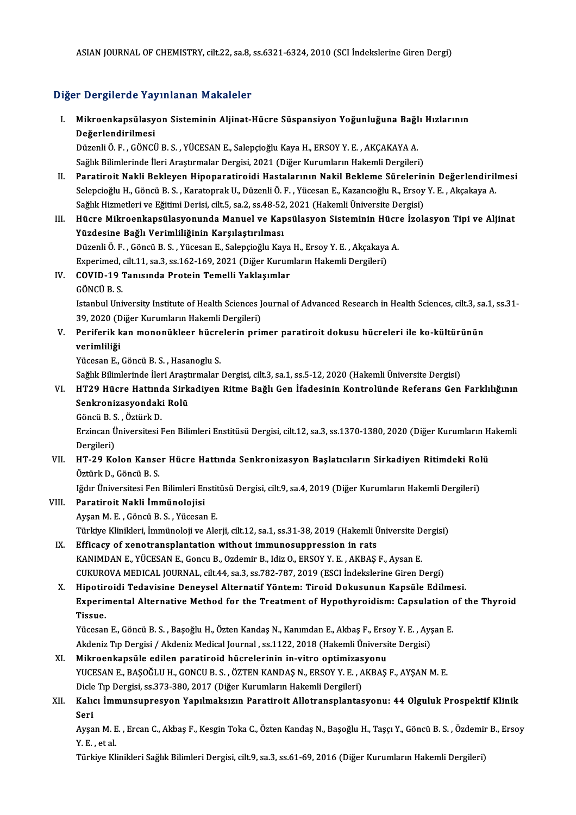## Diğer Dergilerde Yayınlanan Makaleler

iğer Dergilerde Yayınlanan Makaleler<br>I. Mikroenkapsülasyon Sisteminin Aljinat-Hücre Süspansiyon Yoğunluğuna Bağlı Hızlarının<br>Değerlendirilmesi r Borghordo raj<br>Mikroenkapsülasy<br>Değerlendirilmesi<br>Düzenli Ö. E. CÖNCİ Mikroenkapsülasyon Sisteminin Aljinat-Hücre Süspansiyon Yoğunluğuna Bağl<br>Değerlendirilmesi<br>Düzenli Ö.F., GÖNCÜ B.S., YÜCESAN E., Salepçioğlu Kaya H., ERSOY Y. E. , AKÇAKAYA A.<br>Sağlık Bilimlerinde İleri Arestrmalar Dergisi

D<mark>eğerlendirilmesi</mark><br>Düzenli Ö. F. , GÖNCÜ B. S. , YÜCESAN E., Salepçioğlu Kaya H., ERSOY Y. E. , AKÇAKAYA A.<br>Sağlık Bilimlerinde İleri Araştırmalar Dergisi, 2021 (Diğer Kurumların Hakemli Dergileri)<br>Paratineit Nakli Baklay Sağlık Bilimlerinde İleri Araştırmalar Dergisi, 2021 (Diğer Kurumların Hakemli Dergileri)<br>II. Paratiroit Nakli Bekleyen Hipoparatiroidi Hastalarının Nakil Bekleme Sürelerinin Değerlendirilmesi

- Selepcioğlu H., Göncü B.S., Karatoprak U., Düzenli Ö. F., Yücesan E., Kazancıoğlu R., Ersoy Y. E., Akçakaya A. Paratiroit Nakli Bekleyen Hipoparatiroidi Hastalarının Nakil Bekleme Sürelerin<br>Selepcioğlu H., Göncü B. S. , Karatoprak U., Düzenli Ö. F. , Yücesan E., Kazancıoğlu R., Ersoy<br>Sağlık Hizmetleri ve Eğitimi Derisi, cilt.5, sa. Selepcioğlu H., Göncü B. S. , Karatoprak U., Düzenli Ö. F. , Yücesan E., Kazancıoğlu R., Ersoy Y. E. , Akçakaya A.<br>Sağlık Hizmetleri ve Eğitimi Derisi, cilt.5, sa.2, ss.48-52, 2021 (Hakemli Üniversite Dergisi)<br>III. Hüc
- Sağlık Hizmetleri ve Eğitimi Derisi, cilt.5, sa.2, ss.48-52<br>Hücre Mikroenkapsülasyonunda Manuel ve Kap<br>Yüzdesine Bağlı Verimliliğinin Karşılaştırılması<br>Düzenli Ö.F., Cângü B.S., Vüsesen E. Salangiağlu Kay Hücre Mikroenkapsülasyonunda Manuel ve Kapsülasyon Sisteminin Hücr<br>Yüzdesine Bağlı Verimliliğinin Karşılaştırılması<br>Düzenli Ö. F. , Göncü B. S. , Yücesan E., Salepçioğlu Kaya H., Ersoy Y. E. , Akçakaya A.<br>Evnerimed silt 11 Yüzdesine Bağlı Verimliliğinin Karşılaştırılması<br>Düzenli Ö. F. , Göncü B. S. , Yücesan E., Salepçioğlu Kaya H., Ersoy Y. E. , Akçakaya A.<br>Experimed, cilt.11, sa.3, ss.162-169, 2021 (Diğer Kurumların Hakemli Dergileri) Düzenli Ö. F. , Göncü B. S. , Yücesan E., Salepçioğlu Kaya<br>Experimed, cilt.11, sa.3, ss.162-169, 2021 (Diğer Kurum<br>IV. COVID-19 Tanısında Protein Temelli Yaklaşımlar

# Experimed,<br>COVID-19<br>GÖNCÜ B. S.<br>Istanbul Uni

GÖNCÜ B. S.<br>Istanbul University Institute of Health Sciences Journal of Advanced Research in Health Sciences, cilt.3, sa.1, ss.31-GÖNCÜ B. S.<br>Istanbul University Institute of Health Sciences J<br>39, 2020 (Diğer Kurumların Hakemli Dergileri)<br>Periferik kan menanükleer büsrelerin prij

## V. Periferik kan mononükleer hücrelerin primer paratiroit dokusu hücreleri ile ko-kültürünün<br>verimliliği 39, 2020 (D<br>Periferik k<br>verimliliği<br><sup>Vücesan F</sup> verimliliği<br>Yücesan E., Göncü B. S. , Hasanoglu S.<br>Sağlık Bilimlerinde İleri Araştırmalar Dergisi, cilt.3, sa.1, ss.5-12, 2020 (Hakemli Üniversite Dergisi)<br>HT20 Hüsre Hattında Sirkadiyan Bitme Bağlı Can İfadesinin Kantrolü

Yücesan E., Göncü B. S., Hasanoglu S.

VI. HT29 Hücre Hattında Sirkadiyen Ritme Bağlı Gen İfadesinin Kontrolünde Referans Gen Farklılığının Sağlık Bilimlerinde İleri Araşt<br>HT29 Hücre Hattında Sirk<br>Senkronizasyondaki Rolü<br>Göngü B.S., Östürk D HT29 Hücre Hattınd<br>Senkronizasyondak<br>Göncü B.S., Öztürk D.<br>Ergincen Üniversitesi I

Erzincan Üniversitesi Fen Bilimleri Enstitüsü Dergisi, cilt.12, sa.3, ss.1370-1380, 2020 (Diğer Kurumların Hakemli<br>Dergileri) Göncü B. S<br>Erzincan Ü<br>Dergileri)<br>HT 20 Ko Erzincan Üniversitesi Fen Bilimleri Enstitüsü Dergisi, cilt.12, sa.3, ss.1370-1380, 2020 (Diğer Kurumların H<br>Dergileri)<br>VII. HT-29 Kolon Kanser Hücre Hattında Senkronizasyon Başlatıcıların Sirkadiyen Ritimdeki Rolü<br>Öst

# Dergileri)<br><mark>HT-29 Kolon Kanse</mark><br>Öztürk D., Göncü B. S.<br><sup>Lğdın Üniversitesi Fen</sup> HT-29 Kolon Kanser Hücre Hattında Senkronizasyon Başlatıcıların Sirkadiyen Ritimdeki Rol<br>Öztürk D., Göncü B. S.<br>Iğdır Üniversitesi Fen Bilimleri Enstitüsü Dergisi, cilt.9, sa.4, 2019 (Diğer Kurumların Hakemli Dergileri)<br>Pe

Öztürk D., Göncü B. S.<br>Iğdır Üniversitesi Fen Bilimleri Enstitüsü Dergisi, cilt.9, sa.4, 2019 (Diğer Kurumların Hakemli Dergileri)<br>VIII. Paratiroit Nakli İmmünolojisi

AyşanM.E. ,GöncüB.S. ,YücesanE. Paratiroit Nakli İmmünolojisi<br>Ayşan M. E. , Göncü B. S. , Yücesan E.<br>Türkiye Klinikleri, İmmünoloji ve Alerji, cilt.12, sa.1, ss.31-38, 2019 (Hakemli Üniversite Dergisi)<br>Efficesu of venetraneplantation without immunosuppre

- IX. Efficacy of xenotransplantation without immunosuppression in rats<br>KANIMDAN E., YÜCESAN E., Goncu B., Ozdemir B., Idiz O., ERSOY Y. E., AKBAŞ F., Aysan E. Türkiye Klinikleri, İmmünoloji ve Alerji, cilt.12, sa.1, ss.31-38, 2019 (Hakemli Üniversite D<br>Efficacy of xenotransplantation without immunosuppression in rats<br>KANIMDAN E., YÜCESAN E., Goncu B., Ozdemir B., Idiz O., ERSOY CUKUROVAMEDICAL JOURNAL, cilt.44, sa.3, ss.782-787,2019 (ESCI İndekslerineGirenDergi) KANIMDAN E., YÜCESAN E., Goncu B., Ozdemir B., Idiz O., ERSOY Y. E., AKBAŞ F., Aysan E.<br>CUKUROVA MEDICAL JOURNAL, cilt.44, sa.3, ss.782-787, 2019 (ESCI İndekslerine Giren Dergi)<br>X. Hipotiroidi Tedavisine Deneysel Alternati
- CUKUROVA MEDICAL JOURNAL, cilt.44, sa.3, ss.782-787, 2019 (ESCI İndekslerine Giren Dergi)<br>Hipotiroidi Tedavisine Deneysel Alternatif Yöntem: Tiroid Dokusunun Kapsüle Edilmesi.<br>Experimental Alternative Method for the Treatm Hipotir<br>Experii<br>Tissue. Experimental Alternative Method for the Treatment of Hypothyroidism: Capsulation of<br>Tissue.<br>Yücesan E., Göncü B.S. , Başoğlu H., Özten Kandaş N., Kanımdan E., Akbaş F., Ersoy Y. E. , Ayşan E.<br>Akdapiz Tıp Dargisi / Akdapiz

**Tissue.**<br>Yücesan E., Göncü B. S. , Başoğlu H., Özten Kandaş N., Kanımdan E., Akbaş F., Ersoy Y. E. , Ayşan E.<br>Akdeniz Tıp Dergisi / Akdeniz Medical Journal , ss.1122, 2018 (Hakemli Üniversite Dergisi)

XI. Mikroenkapsüle edilen paratiroid hücrelerinin in-vitro optimizasyonu Akdeniz Tıp Dergisi / Akdeniz Medical Journal , ss.1122, 2018 (Hakemli Üniversite Dergisi)<br>Mikroenkapsüle edilen paratiroid hücrelerinin in-vitro optimizasyonu<br>YUCESAN E., BAŞOĞLU H., GONCU B. S. , ÖZTEN KANDAŞ N., ERSOY Y Mikroenkapsüle edilen paratiroid hücrelerinin in-vitro optimizas<br>YUCESAN E., BAŞOĞLU H., GONCU B. S. , ÖZTEN KANDAŞ N., ERSOY Y. E. , A<br>Dicle Tıp Dergisi, ss.373-380, 2017 (Diğer Kurumların Hakemli Dergileri)<br>Kalısı İmmung YUCESAN E., BAŞOĞLU H., GONCU B. S. , ÖZTEN KANDAŞ N., ERSOY Y. E. , AKBAŞ F., AYŞAN M. E.<br>Dicle Tıp Dergisi, ss.373-380, 2017 (Diğer Kurumların Hakemli Dergileri)<br>XII. Kalıcı İmmunsupresyon Yapılmaksızın Paratiroit Al

# Dicle<br>Kalıd<br>Seri Kalıcı İmmunsupresyon Yapılmaksızın Paratiroit Allotransplantasyonu: 44 Olguluk Prospektif Klinik<br>Seri<br>Ayşan M. E. , Ercan C., Akbaş F., Kesgin Toka C., Özten Kandaş N., Başoğlu H., Taşçı Y., Göncü B. S. , Özdemir B., Erso

Seri<br>Ayşan M. E<br>Y. E. , et al.<br>Türkiye Kl Ayşan M. E. , Ercan C., Akbaş F., Kesgin Toka C., Özten Kandaş N., Başoğlu H., Taşçı Y., Göncü B. S. , Özdemir<br>Y. E. , et al.<br>Türkiye Klinikleri Sağlık Bilimleri Dergisi, cilt.9, sa.3, ss.61-69, 2016 (Diğer Kurumların Hake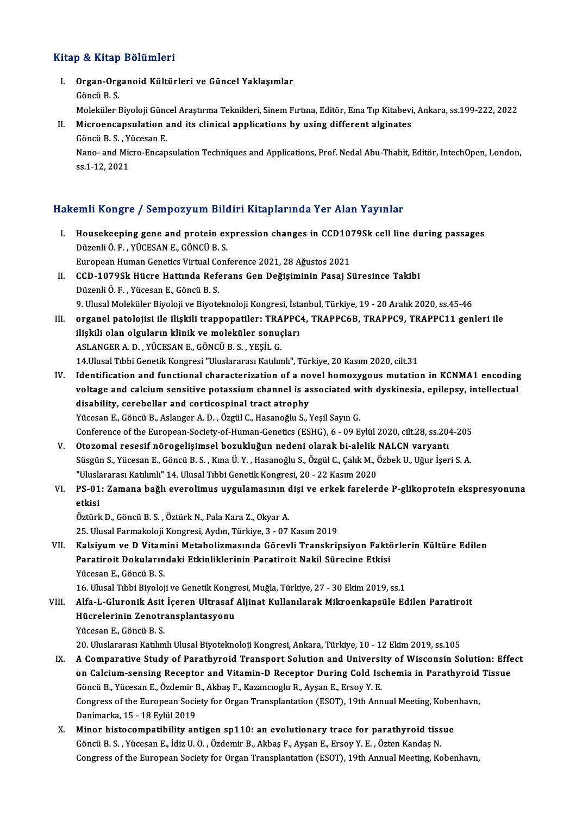### Kitap & Kitap Bölümleri

itap & Kitap Bölümleri<br>I. Organ-Organoid Kültürleri ve Güncel Yaklaşımlar<br> Göngü B S p & meap<br>Organ-Org<br>Göncü B. S.<br>Meleküler I Organ-Organoid Kültürleri ve Güncel Yaklaşımlar<br>Göncü B. S.<br>Moleküler Biyoloji Güncel Araştırma Teknikleri, Sinem Fırtına, Editör, Ema Tıp Kitabevi, Ankara, ss.199-222, 2022

Göncü B. S.<br>Moleküler Biyoloji Güncel Araştırma Teknikleri, Sinem Fırtına, Editör, Ema Tıp Kitabevi<br>II. Microencapsulation and its clinical applications by using different alginates<br>Cöncü B. S. Vücesen F Moleküler Biyoloji Günc<br>Microencapsulation<br>Göncü B. S. , Yücesan E.<br>Nane, and Misro Ensan

Microencapsulation and its clinical applications by using different alginates<br>Göncü B. S. , Yücesan E.<br>Nano- and Micro-Encapsulation Techniques and Applications, Prof. Nedal Abu-Thabit, Editör, IntechOpen, London,<br>99.1.1.2 Göncü B. S. , Y<br>Nano- and Mic<br>ss.1-12, 2021

# ss.1-12, 2021<br>Hakemli Kongre / Sempozyum Bildiri Kitaplarında Yer Alan Yayınlar

- akemli Kongre / Sempozyum Bildiri Kitaplarında Yer Alan Yayınlar<br>I. Housekeeping gene and protein expression changes in CCD1079Sk cell line during passages<br>Dürenli Ö.E. VÜCESAN E. CÖNCÜ B.S Mini Köngre 7 Somponyam Die<br>Housekeeping gene and protein ex<br>Düzenli Ö. F. , YÜCESAN E., GÖNCÜ B. S. Housekeeping gene and protein expression changes in CCD10<br>Düzenli Ö. F. , YÜCESAN E., GÖNCÜ B. S.<br>European Human Genetics Virtual Conference 2021, 28 Ağustos 2021<br>CCD 1079Sk Hügre Hattude Beferenc Cen Değişiminin Besai S Düzenli Ö. F. , YÜCESAN E., GÖNCÜ B. S.<br>European Human Genetics Virtual Conference 2021, 28 Ağustos 2021<br>II. CCD-1079Sk Hücre Hattında Referans Gen Değişiminin Pasaj Süresince Takibi<br>Düzenli Ö. F. , Yücesan E., Göncü B. S. European Human Genetics Virtual Contraction CCD-1079Sk Hücre Hattında Refer<br>Düzenli Ö. F. , Yücesan E., Göncü B. S.<br>O. Ulusel Meleküler Biyeleji ve Biyeta 9. Ulusal Moleküler Biyoloji ve Biyoteknoloji Kongresi, İstanbul, Türkiye, 19 - 20 Aralık 2020, ss.45-46
- III. organel patolojisi ile ilişkili trappopatiler: TRAPPC4, TRAPPC6B, TRAPPC9, TRAPPC11 genleri ile 9. Ulusal Moleküler Biyoloji ve Biyoteknoloji Kongresi, İstanan olan olguların klinik ve moleküler sonuçları<br>ilişkili olan olguların klinik ve moleküler sonuçları<br>ASLANGERA D. YÜCESAN E. GÖNCÜ B.S. YESLI G. organel patolojisi ile ilişkili trappopatiler: TRA<br>ilişkili olan olguların klinik ve moleküler sonuç<br>ASLANGER A. D. , YÜCESAN E., GÖNCÜ B. S. , YEŞİL G.<br>14 Ulusal Tıbbi Censtil: Konstesi "Uluslararsa Katılın ASLANGER A. D. , YÜCESAN E., GÖNCÜ B. S. , YEŞİL G.<br>14.Ulusal Tıbbi Genetik Kongresi "Uluslararası Katılımlı", Türkiye, 20 Kasım 2020, cilt.31 ASLANGER A. D. , YÜCESAN E., GÖNCÜ B. S. , YEŞİL G.<br>14.Ulusal Tıbbi Genetik Kongresi "Uluslararası Katılımlı", Türkiye, 20 Kasım 2020, cilt.31<br>IV. Identification and functional characterization of a novel homozygous mutati
- 14.Ulusal Tıbbi Genetik Kongresi "Uluslararası Katılımlı", Türkiye, 20 Kasım 2020, cilt.31<br>Identification and functional characterization of a novel homozygous mutation in KCNMA1 encoding<br>voltage and calcium sensitive pota Identification and functional characterization of a no<br>voltage and calcium sensitive potassium channel is as<br>disability, cerebellar and corticospinal tract atrophy<br><sup>Vijggggn E. Cëngji B. Aslanggn A. D. Özgjil C. Hasanoğlu </sup> voltage and calcium sensitive potassium channel is associated with dyskinesia, epilepsy, intellectual<br>disability, cerebellar and corticospinal tract atrophy<br>Yücesan E., Göncü B., Aslanger A. D. , Özgül C., Hasanoğlu S., Ye Conference of the European-Society-of-Human-Genetics (ESHG), 6 - 09 Eylül 2020, cilt.28, ss.204-205
- V. Otozomal resesif nörogelişimsel bozukluğun nedeni olarak bi-alelik NALCN varyantı Conference of the European-Society-of-Human-Genetics (ESHG), 6 - 09 Eylül 2020, cilt.28, ss.204-205<br>Otozomal resesif nörogelişimsel bozukluğun nedeni olarak bi-alelik NALCN varyantı<br>Süsgün S., Yücesan E., Göncü B. S. , Kın Otozomal resesif nörogelişimsel bozukluğun nedeni olarak bi-alelik |<br>Süsgün S., Yücesan E., Göncü B. S. , Kına Ü. Y. , Hasanoğlu S., Özgül C., Çalık M., Ö<br>"Uluslararası Katılımlı" 14. Ulusal Tıbbi Genetik Kongresi, 20 - 22 Süsgün S., Yücesan E., Göncü B. S. , Kına Ü. Y. , Hasanoğlu S., Özgül C., Çalık M., Özbek U., Uğur İşeri S. A.<br>"Uluslararası Katılımlı" 14. Ulusal Tıbbi Genetik Kongresi, 20 - 22 Kasım 2020<br>VI. PS-01: Zamana bağlı ever
- "Uluslararası Katılımlı" 14. Ulusal Tıbbi Genetik Kongresi, 20 22 Kasım 2020<br>PS-01: Zamana bağlı everolimus uygulamasının dişi ve erkek fareler<br>etkisi<br>Öztürk D., Göncü B. S. , Öztürk N., Pala Kara Z., Okyar A. PS-01: Zamana bağlı everolimus uygulamasının d<br>etkisi<br>Öztürk D., Göncü B.S. , Öztürk N., Pala Kara Z., Okyar A.<br>25. Ulucal Farmakalaji Kangresi, Avdın, Türkiye 2, 07.

25.UlusalFarmakolojiKongresi,Aydın,Türkiye,3 -07Kasım2019

Öztürk D., Göncü B. S. , Öztürk N., Pala Kara Z., Okyar A.<br>25. Ulusal Farmakoloji Kongresi, Aydın, Türkiye, 3 - 07 Kasım 2019<br>VII. Kalsiyum ve D Vitamini Metabolizmasında Görevli Transkripsiyon Faktörlerin Kültüre Edil 25. Ulusal Farmakoloji Kongresi, Aydın, Türkiye, 3 - 07 Kasım 2019<br>Kalsiyum ve D Vitamini Metabolizmasında Görevli Transkripsiyon Faktö<br>Paratiroit Dokularındaki Etkinliklerinin Paratiroit Nakil Sürecine Etkisi<br><sup>Vücccon E. </sup> Kalsiyum ve D Vitam<br>Paratiroit Dokuların<br>Yücesan E., Göncü B. S.<br>16 Ulucel Tıbbi Biyoloi Paratiroit Dokularındaki Etkinliklerinin Paratiroit Nakil Sürecine Etkisi<br>16. Ulusal Tıbbi Biyoloji ve Genetik Kongresi, Muğla, Türkiye, 27 - 30 Ekim 2019, ss.1

Yücesan E., Göncü B. S.<br>16. Ulusal Tıbbi Biyoloji ve Genetik Kongresi, Muğla, Türkiye, 27 - 30 Ekim 2019, ss.1<br>15. Alfa-L-Gluronik Asit İçeren Ultrasaf Aljinat Kullanılarak Mikroenkapsüle Edilen Paratiroit<br>15. Alfa-L-Gluro 16. Ulusal Tıbbi Biyoloji ve Genetik Kongr<br>Alfa-L-Gluronik Asit İçeren Ultrasaf .<br>Hücrelerinin Zenotransplantasyonu<br><sup>Vücccon E. Cöngü B. S</sup> Alfa-L-Gluronik Asit<br>Hücrelerinin Zenotra<br>Yücesan E., Göncü B. S.<br>20. Uluslaranası Katlım Hücrelerinin Zenotransplantasyonu<br>Yücesan E., Göncü B. S.<br>20. Uluslararası Katılımlı Ulusal Biyoteknoloji Kongresi, Ankara, Türkiye, 10 - 12 Ekim 2019, ss.105

- Yücesan E., Göncü B. S.<br>20. Uluslararası Katılımlı Ulusal Biyoteknoloji Kongresi, Ankara, Türkiye, 10 12 Ekim 2019, ss.105<br>18. A Comparative Study of Parathyroid Transport Solution and University of Wisconsin Solution: E 20. Uluslararası Katılımlı Ulusal Biyoteknoloji Kongresi, Ankara, Türkiye, 10 - 12 Ekim 2019, ss.105<br>A Comparative Study of Parathyroid Transport Solution and University of Wisconsin Solution: Effe<br>on Calcium-sensing Recep A Comparative Study of Parathyroid Transport Solution and Universi<br>on Calcium-sensing Receptor and Vitamin-D Receptor During Cold Ise<br>Göncü B., Yücesan E., Özdemir B., Akbaş F., Kazancıoglu R., Ayşan E., Ersoy Y. E.<br>Congre on Calcium-sensing Receptor and Vitamin-D Receptor During Cold Ischemia in Parathyroid Tissue<br>Göncü B., Yücesan E., Özdemir B., Akbaş F., Kazancıoglu R., Ayşan E., Ersoy Y. E.<br>Congress of the European Society for Organ Tra Danimarka, 15 - 18 Eylül 2019 Congress of the European Society for Organ Transplantation (ESOT), 19th Annual Meeting, Kober<br>Danimarka, 15 - 18 Eylül 2019<br>X. Minor histocompatibility antigen sp110: an evolutionary trace for parathyroid tissue<br>Côngi B. S
- Danimarka, 15 18 Eylül 2019<br>Minor histocompatibility antigen sp110: an evolutionary trace for parathyroid tiss<br>Göncü B. S. , Yücesan E., İdiz U. O. , Özdemir B., Akbaş F., Ayşan E., Ersoy Y. E. , Özten Kandaş N.<br>Congress Göncü B. S. , Yücesan E., İdiz U. O. , Özdemir B., Akbaş F., Ayşan E., Ersoy Y. E. , Özten Kandaş N.<br>Congress of the European Society for Organ Transplantation (ESOT), 19th Annual Meeting, Kobenhavn,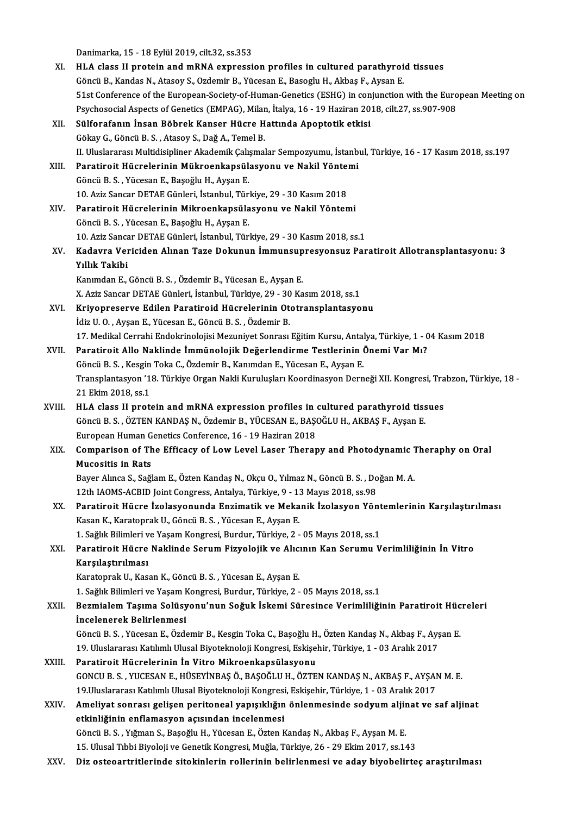Danimarka, 15 - 18 Eylül 2019, cilt.32, ss.353<br>HJ A slass II protein and mPNA synnessi

|        | Danimarka, 15 - 18 Eylül 2019, cilt.32, ss.353                                                                                                                               |
|--------|------------------------------------------------------------------------------------------------------------------------------------------------------------------------------|
| XI.    | HLA class II protein and mRNA expression profiles in cultured parathyroid tissues                                                                                            |
|        | Göncü B., Kandas N., Atasoy S., Ozdemir B., Yücesan E., Basoglu H., Akbaş F., Aysan E.                                                                                       |
|        | 51st Conference of the European-Society-of-Human-Genetics (ESHG) in conjunction with the European Meeting on                                                                 |
|        | Psychosocial Aspects of Genetics (EMPAG), Milan, İtalya, 16 - 19 Haziran 2018, cilt.27, ss.907-908                                                                           |
| XII.   | Sülforafanın İnsan Böbrek Kanser Hücre Hattında Apoptotik etkisi                                                                                                             |
|        | Gökay G., Göncü B. S., Atasoy S., Dağ A., Temel B.                                                                                                                           |
|        | II. Uluslararası Multidisipliner Akademik Çalışmalar Sempozyumu, İstanbul, Türkiye, 16 - 17 Kasım 2018, ss.197                                                               |
| XIII.  | Paratiroit Hücrelerinin Mükroenkapsülasyonu ve Nakil Yöntemi                                                                                                                 |
|        | Göncü B. S., Yücesan E., Başoğlu H., Ayşan E.                                                                                                                                |
|        | 10. Aziz Sancar DETAE Günleri, İstanbul, Türkiye, 29 - 30 Kasım 2018                                                                                                         |
| XIV.   | Paratiroit Hücrelerinin Mikroenkapsülasyonu ve Nakil Yöntemi                                                                                                                 |
|        | Göncü B. S., Yücesan E., Başoğlu H., Ayşan E.                                                                                                                                |
|        | 10. Aziz Sancar DETAE Günleri, İstanbul, Türkiye, 29 - 30 Kasım 2018, ss.1                                                                                                   |
| XV.    | Kadavra Vericiden Alınan Taze Dokunun İmmunsupresyonsuz Paratiroit Allotransplantasyonu: 3                                                                                   |
|        | Yıllık Takibi                                                                                                                                                                |
|        | Kanımdan E., Göncü B. S., Özdemir B., Yücesan E., Ayşan E.                                                                                                                   |
|        | X. Aziz Sancar DETAE Günleri, İstanbul, Türkiye, 29 - 30 Kasım 2018, ss.1                                                                                                    |
| XVI.   | Kriyopreserve Edilen Paratiroid Hücrelerinin Ototransplantasyonu                                                                                                             |
|        | İdiz U.O., Ayşan E., Yücesan E., Göncü B.S., Özdemir B.                                                                                                                      |
|        | 17. Medikal Cerrahi Endokrinolojisi Mezuniyet Sonrası Eğitim Kursu, Antalya, Türkiye, 1 - 04 Kasım 2018                                                                      |
| XVII.  | Paratiroit Allo Naklinde İmmünolojik Değerlendirme Testlerinin Önemi Var Mı?                                                                                                 |
|        | Göncü B. S., Kesgin Toka C., Özdemir B., Kanımdan E., Yücesan E., Ayşan E.                                                                                                   |
|        | Transplantasyon '18. Türkiye Organ Nakli Kuruluşları Koordinasyon Derneği XII. Kongresi, Trabzon, Türkiye, 18 -                                                              |
|        | 21 Ekim 2018, ss 1                                                                                                                                                           |
| XVIII. | HLA class II protein and mRNA expression profiles in cultured parathyroid tissues                                                                                            |
|        | Göncü B. S., ÖZTEN KANDAŞ N., Özdemir B., YÜCESAN E., BAŞOĞLU H., AKBAŞ F., Ayşan E.                                                                                         |
|        | European Human Genetics Conference, 16 - 19 Haziran 2018                                                                                                                     |
| XIX.   | Comparison of The Efficacy of Low Level Laser Therapy and Photodynamic Theraphy on Oral                                                                                      |
|        | <b>Mucositis in Rats</b>                                                                                                                                                     |
|        | Bayer Alınca S., Sağlam E., Özten Kandaş N., Okçu O., Yılmaz N., Göncü B. S., Doğan M. A.                                                                                    |
|        | 12th IAOMS-ACBID Joint Congress, Antalya, Türkiye, 9 - 13 Mayıs 2018, ss.98<br>Paratiroit Hücre İzolasyonunda Enzimatik ve Mekanik İzolasyon Yöntemlerinin Karşılaştırılması |
| XX.    |                                                                                                                                                                              |
|        | Kasan K., Karatoprak U., Göncü B. S., Yücesan E., Ayşan E.<br>1. Sağlık Bilimleri ve Yaşam Kongresi, Burdur, Türkiye, 2 - 05 Mayıs 2018, ss.1                                |
|        | Paratiroit Hücre Naklinde Serum Fizyolojik ve Alıcının Kan Serumu Verimliliğinin İn Vitro                                                                                    |
| XXI.   | Karşılaştırılması                                                                                                                                                            |
|        | Karatoprak U., Kasan K., Göncü B. S., Yücesan E., Ayşan E.                                                                                                                   |
|        | 1. Sağlık Bilimleri ve Yaşam Kongresi, Burdur, Türkiye, 2 - 05 Mayıs 2018, ss.1                                                                                              |
| XXII.  | Bezmialem Taşıma Solüsyonu'nun Soğuk İskemi Süresince Verimliliğinin Paratiroit Hücreleri                                                                                    |
|        | Incelenerek Belirlenmesi                                                                                                                                                     |
|        | Göncü B. S., Yücesan E., Özdemir B., Kesgin Toka C., Başoğlu H., Özten Kandaş N., Akbaş F., Ayşan E.                                                                         |
|        | 19. Uluslararası Katılımlı Ulusal Biyoteknoloji Kongresi, Eskişehir, Türkiye, 1 - 03 Aralık 2017                                                                             |
| XXIII. | Paratiroit Hücrelerinin İn Vitro Mikroenkapsülasyonu                                                                                                                         |
|        | GONCU B. S., YUCESAN E., HÜSEYİNBAŞ Ö., BAŞOĞLU H., ÖZTEN KANDAŞ N., AKBAŞ F., AYŞAN M. E.                                                                                   |
|        | 19. Uluslararası Katılımlı Ulusal Biyoteknoloji Kongresi, Eskişehir, Türkiye, 1 - 03 Aralık 2017                                                                             |
| XXIV.  | Ameliyat sonrası gelişen peritoneal yapışıklığın önlenmesinde sodyum aljinat ve saf aljinat                                                                                  |
|        | etkinliğinin enflamasyon açısından incelenmesi                                                                                                                               |
|        | Göncü B. S., Yığman S., Başoğlu H., Yücesan E., Özten Kandaş N., Akbaş F., Ayşan M. E.                                                                                       |
|        | 15. Ulusal Tıbbi Biyoloji ve Genetik Kongresi, Muğla, Türkiye, 26 - 29 Ekim 2017, ss.143                                                                                     |
| XXV.   | Diz osteoartritlerinde sitokinlerin rollerinin belirlenmesi ve aday biyobelirteç araştırılması                                                                               |
|        |                                                                                                                                                                              |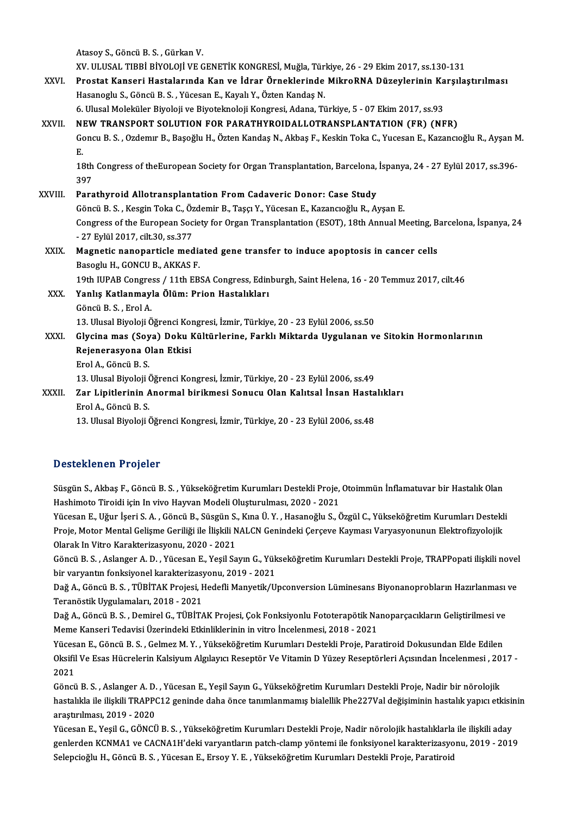|               | Atasoy S., Göncü B. S., Gürkan V.                                                                                    |
|---------------|----------------------------------------------------------------------------------------------------------------------|
|               | XV. ULUSAL TIBBİ BİYOLOJİ VE GENETİK KONGRESİ, Muğla, Türkiye, 26 - 29 Ekim 2017, ss.130-131                         |
| XXVI.         | Prostat Kanseri Hastalarında Kan ve İdrar Örneklerinde MikroRNA Düzeylerinin Karşılaştırılması                       |
|               | Hasanoglu S., Göncü B. S., Yücesan E., Kayalı Y., Özten Kandaş N.                                                    |
|               | 6. Ulusal Moleküler Biyoloji ve Biyoteknoloji Kongresi, Adana, Türkiye, 5 - 07 Ekim 2017, ss.93                      |
| XXVII.        | NEW TRANSPORT SOLUTION FOR PARATHYROIDALLOTRANSPLANTATION (FR) (NFR)                                                 |
|               | Goncu B. S., Ozdemır B., Başoğlu H., Özten Kandaş N., Akbaş F., Keskin Toka C., Yucesan E., Kazancıoğlu R., Ayşan M. |
|               | Ε.                                                                                                                   |
|               | 18th Congress of theEuropean Society for Organ Transplantation, Barcelona, İspanya, 24 - 27 Eylül 2017, ss.396-      |
|               | 397                                                                                                                  |
| <b>XXVIII</b> | Parathyroid Allotransplantation From Cadaveric Donor: Case Study                                                     |
|               | Göncü B. S., Kesgin Toka C., Özdemir B., Taşçı Y., Yücesan E., Kazancıoğlu R., Ayşan E.                              |
|               | Congress of the European Society for Organ Transplantation (ESOT), 18th Annual Meeting, Barcelona, İspanya, 24       |
|               | - 27 Eylül 2017, cilt 30, ss 377                                                                                     |
| XXIX.         | Magnetic nanoparticle mediated gene transfer to induce apoptosis in cancer cells                                     |
|               | Basoglu H., GONCU B., AKKAS F.                                                                                       |
|               | 19th IUPAB Congress / 11th EBSA Congress, Edinburgh, Saint Helena, 16 - 20 Temmuz 2017, cilt.46                      |
| XXX.          | Yanlış Katlanmayla Ölüm: Prion Hastalıkları                                                                          |
|               | Göncü B. S., Erol A.                                                                                                 |
|               | 13. Ulusal Biyoloji Öğrenci Kongresi, İzmir, Türkiye, 20 - 23 Eylül 2006, ss.50                                      |
| XXXI.         | Glycina mas (Soya) Doku Kültürlerine, Farklı Miktarda Uygulanan ve Sitokin Hormonlarının                             |
|               | Rejenerasyona Olan Etkisi                                                                                            |
|               | Erol A., Göncü B. S.                                                                                                 |
|               | 13. Ulusal Biyoloji Öğrenci Kongresi, İzmir, Türkiye, 20 - 23 Eylül 2006, ss.49                                      |
| XXXII.        | Zar Lipitlerinin Anormal birikmesi Sonucu Olan Kalıtsal İnsan Hastalıkları                                           |
|               | Erol A., Göncü B. S.                                                                                                 |
|               | 13. Ulusal Biyoloji Öğrenci Kongresi, İzmir, Türkiye, 20 - 23 Eylül 2006, ss 48                                      |
|               |                                                                                                                      |

## Desteklenen Projeler

Desteklenen Projeler<br>Süsgün S., Akbaş F., Göncü B. S. , Yükseköğretim Kurumları Destekli Proje, Otoimmün İnflamatuvar bir Hastalık Olan<br>Hashimata Tiroidi isin In vive Hayyan Madeli Olyaturulması, 2020, 2021 Bustumunun 1 1 9 julut<br>Süsgün S., Akbaş F., Göncü B. S. , Yükseköğretim Kurumları Destekli Proje,<br>Hashimoto Tiroidi için In vivo Hayvan Modeli Oluşturulması, 2020 - 2021<br>Vüsssan E. Häun İsari S. A., Gönsü B., Süssün S., Ku Hashimoto Tiroidi için In vivo Hayvan Modeli Oluşturulması, 2020 - 2021<br>Yücesan E., Uğur İşeri S. A. , Göncü B., Süsgün S., Kına Ü. Y. , Hasanoğlu S., Özgül C., Yükseköğretim Kurumları Destekli

Hashimoto Tiroidi için In vivo Hayvan Modeli Oluşturulması, 2020 - 2021<br>Yücesan E., Uğur İşeri S. A. , Göncü B., Süsgün S., Kına Ü. Y. , Hasanoğlu S., Özgül C., Yükseköğretim Kurumları Destekl<br>Proje, Motor Mental Gelişme G Yücesan E., Uğur İşeri S. A. , Göncü B., Süsgün S.<br>Proje, Motor Mental Gelişme Geriliği ile İlişkili N<br>Olarak In Vitro Karakterizasyonu, 2020 - 2021<br>Göncü B. S., Aslansor A. D., Vüsesan E. Yesil Sa Proje, Motor Mental Gelişme Geriliği ile İlişkili NALCN Genindeki Çerçeve Kayması Varyasyonunun Elektrofizyolojik<br>Olarak In Vitro Karakterizasyonu, 2020 - 2021<br>Göncü B. S. , Aslanger A. D. , Yücesan E., Yeşil Sayın G., Yük

Olarak In Vitro Karakterizasyonu, 2020 - 2021<br>Göncü B. S. , Aslanger A. D. , Yücesan E., Yeşil Sayın G., Yükseköğretim Kurumları Destekli Proje, TRAPPopati ilişkili novel<br>bir varyantın fonksiyonel karakterizasyonu, 2019 - Göncü B. S. , Aslanger A. D. , Yücesan E., Yeşil Sayın G., Yükseköğretim Kurumları Destekli Proje, TRAPPopati ilişkili novel<br>bir varyantın fonksiyonel karakterizasyonu, 2019 - 2021<br>Dağ A., Göncü B. S. , TÜBİTAK Projesi, He

bir varyantın fonksiyonel karakterizasy<br>Dağ A., Göncü B. S. , TÜBİTAK Projesi, F<br>Teranöstik Uygulamaları, 2018 - 2021<br>Pağ A. Göncü B. S. Demirel C. TÜBİTA Dağ A., Göncü B. S. , TÜBİTAK Projesi, Hedefli Manyetik/Upconversion Lüminesans Biyonanoprobların Hazırlanması<br>Teranöstik Uygulamaları, 2018 - 2021<br>Dağ A., Göncü B. S. , Demirel G., TÜBİTAK Projesi, Çok Fonksiyonlu Fototer

Teranöstik Uygulamaları, 2018 - 2021<br>Dağ A., Göncü B. S. , Demirel G., TÜBİTAK Projesi, Çok Fonksiyonlu Fototerapötik Na<br>Meme Kanseri Tedavisi Üzerindeki Etkinliklerinin in vitro İncelenmesi, 2018 - 2021<br>Yüzesan E. Göncü B Dağ A., Göncü B. S. , Demirel G., TÜBİTAK Projesi, Çok Fonksiyonlu Fototerapötik Nanoparçacıkların Geliştirilmesi ve<br>Meme Kanseri Tedavisi Üzerindeki Etkinliklerinin in vitro İncelenmesi, 2018 - 2021<br>Yücesan E., Göncü B. S

Meme Kanseri Tedavisi Üzerindeki Etkinliklerinin in vitro İncelenmesi, 2018 - 2021<br>Yücesan E., Göncü B. S. , Gelmez M. Y. , Yükseköğretim Kurumları Destekli Proje, Paratiroid Dokusundan Elde Edilen<br>Oksifil Ve Esas Hücreler Yücesan E., Göncü B. S. , Gelmez M. Y. , Yükseköğretim Kurumları Destekli Proje, Paratiroid Dokusundan Elde Edilen<br>Oksifil Ve Esas Hücrelerin Kalsiyum Algılayıcı Reseptör Ve Vitamin D Yüzey Reseptörleri Açısından İncelenme Oksifil Ve Esas Hücrelerin Kalsiyum Algılayıcı Reseptör Ve Vitamin D Yüzey Reseptörleri Açısından İncelenmesi , 20<br>2021<br>Göncü B. S. , Aslanger A. D. , Yücesan E., Yeşil Sayın G., Yükseköğretim Kurumları Destekli Proje, Nad

2021<br>Göncü B. S. , Aslanger A. D. , Yücesan E., Yeşil Sayın G., Yükseköğretim Kurumları Destekli Proje, Nadir bir nörolojik<br>hastalıkla ile ilişkili TRAPPC12 geninde daha önce tanımlanmamış bialellik Phe227Val değişiminin h Göncü B. S. , Aslanger A. D.<br>hastalıkla ile ilişkili TRAPP<br>araştırılması, 2019 - 2020<br><sup>Yügoson E.</sup> Yesil C. GÖNCÜ hastalıkla ile ilişkili TRAPPC12 geninde daha önce tanımlanmamış bialellik Phe227Val değişiminin hastalık yapıcı etkisir<br>araştırılması, 2019 - 2020<br>Yücesan E., Yeşil G., GÖNCÜ B. S. , Yükseköğretim Kurumları Destekli Proje

araştırılması, 2019 - 2020<br>Yücesan E., Yeşil G., GÖNCÜ B. S. , Yükseköğretim Kurumları Destekli Proje, Nadir nörolojik hastalıklarla ile ilişkili aday<br>genlerden KCNMA1 ve CACNA1H'deki varyantların patch-clamp yöntemi ile f Yücesan E., Yeşil G., GÖNCÜ B.S., Yükseköğretim Kurumları Destekli Proje, Nadir nörolojik hastalıklarla ile ilişkili aday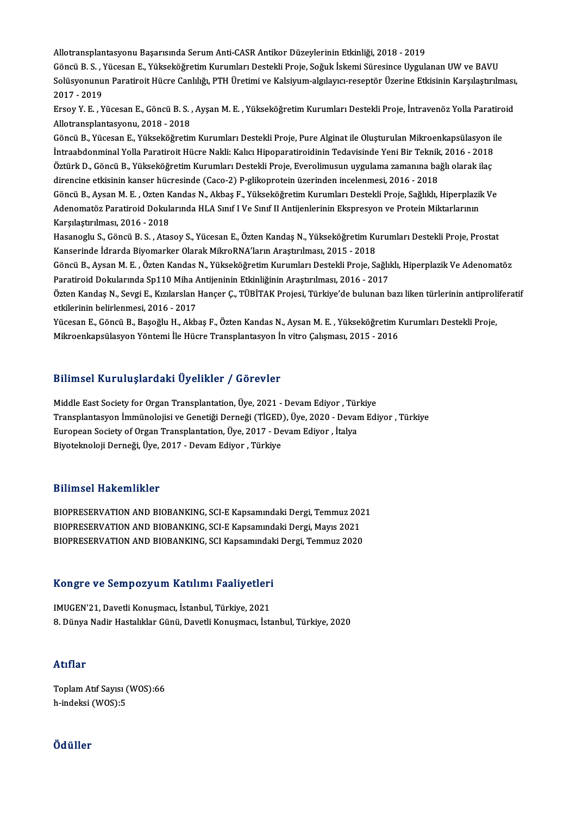AlotransplantasyonuBaşarısında SerumAnti-CASRAntikorDüzeylerininEtkinliği,2018 -2019

GöncüB.S. ,YücesanE.,YükseköğretimKurumlarıDestekliProje,SoğukİskemiSüresinceUygulananUWveBAVU Allotransplantasyonu Başarısında Serum Anti-CASR Antikor Düzeylerinin Etkinliği, 2018 - 2019<br>Göncü B. S. , Yücesan E., Yükseköğretim Kurumları Destekli Proje, Soğuk İskemi Süresince Uygulanan UW ve BAVU<br>Solüsyonunun Parati Göncü B. S. , )<br>Solüsyonunu<br>2017 - 2019<br>Ersey V. E. , V Solüsyonunun Paratiroit Hücre Canlılığı, PTH Üretimi ve Kalsiyum-algılayıcı-reseptör Üzerine Etkisinin Karşılaştırılması,<br>2017 - 2019<br>Ersoy Y. E. , Yücesan E., Göncü B. S. , Ayşan M. E. , Yükseköğretim Kurumları Destekli P

2017 - 2019<br>Ersoy Y. E. , Yücesan E., Göncü B. S. ,<br>Allotransplantasyonu, 2018 - 2018<br>Cöncü B. Yüsesan E. Yükseköğretin Ersoy Y. E. , Yücesan E., Göncü B. S. , Ayşan M. E. , Yükseköğretim Kurumları Destekli Proje, İntravenöz Yolla Paratiro<br>Allotransplantasyonu, 2018 - 2018<br>Göncü B., Yücesan E., Yükseköğretim Kurumları Destekli Proje, Pure A

Allotransplantasyonu, 2018 - 2018<br>Göncü B., Yücesan E., Yükseköğretim Kurumları Destekli Proje, Pure Alginat ile Oluşturulan Mikroenkapsülasyon i<br>İntraabdonminal Yolla Paratiroit Hücre Nakli: Kalıcı Hipoparatiroidinin Teda Göncü B., Yücesan E., Yükseköğretim Kurumları Destekli Proje, Pure Alginat ile Oluşturulan Mikroenkapsülasyon<br>İntraabdonminal Yolla Paratiroit Hücre Nakli: Kalıcı Hipoparatiroidinin Tedavisinde Yeni Bir Teknik, 2016 - 2018 İntraabdonminal Yolla Paratiroit Hücre Nakli: Kalıcı Hipoparatiroidinin Tedavisinde Yeni Bir Teknik, 2016 - 2018<br>Öztürk D., Göncü B., Yükseköğretim Kurumları Destekli Proje, Everolimusun uygulama zamanına bağlı olarak ilaç Öztürk D., Göncü B., Yükseköğretim Kurumları Destekli Proje, Everolimusun uygulama zamanına bağlı olarak ilaç<br>direncine etkisinin kanser hücresinde (Caco-2) P-glikoprotein üzerinden incelenmesi, 2016 - 2018<br>Göncü B., Aysan

direncine etkisinin kanser hücresinde (Caco-2) P-glikoprotein üzerinden incelenmesi, 2016 - 2018<br>Göncü B., Aysan M. E. , Ozten Kandas N., Akbaş F., Yükseköğretim Kurumları Destekli Proje, Sağlıklı, Hiperplazil<br>Adenomatöz P Göncü B., Aysan M. E. , Ozten K<br>Adenomatöz Paratiroid Dokul:<br>Karşılaştırılması, 2016 - 2018<br>Hasanoslu S. Gönsü B. S. Atas Adenomatöz Paratiroid Dokularında HLA Sınıf I Ve Sınıf II Antijenlerinin Ekspresyon ve Protein Miktarlarının<br>Karşılaştırılması, 2016 - 2018<br>Hasanoglu S., Göncü B. S. , Atasoy S., Yücesan E., Özten Kandaş N., Yükseköğretim

Karşılaştırılması, 2016 - 2018<br>Hasanoglu S., Göncü B. S. , Atasoy S., Yücesan E., Özten Kandaş N., Yükseköğretim Ku<br>Kanserinde İdrarda Biyomarker Olarak MikroRNA'ların Araştırılması, 2015 - 2018<br>Cöngü B. Avsan M. E., Östen Hasanoglu S., Göncü B. S. , Atasoy S., Yücesan E., Özten Kandaş N., Yükseköğretim Kurumları Destekli Proje, Prostat<br>Kanserinde İdrarda Biyomarker Olarak MikroRNA'ların Araştırılması, 2015 - 2018<br>Göncü B., Aysan M. E. , Özt

Kanserinde İdrarda Biyomarker Olarak MikroRNA'ların Araştırılması, 2015 - 2018<br>Göncü B., Aysan M. E. , Özten Kandas N., Yükseköğretim Kurumları Destekli Proje, Sağlıklı, Hiperplazik Ve Adenomatöz<br>Paratiroid Dokularında Sp1 Göncü B., Aysan M. E. , Özten Kandas N., Yükseköğretim Kurumları Destekli Proje, Sağlıklı, Hiperplazik Ve Adenomatöz<br>Paratiroid Dokularında Sp110 Miha Antijeninin Etkinliğinin Araştırılması, 2016 - 2017<br>Özten Kandaş N., Se

Paratiroid Dokularında Sp110 Miha A<br>Özten Kandaş N., Sevgi E., Kızılarslan |<br>etkilerinin belirlenmesi, 2016 - 2017<br><sup>Vüqqqqn E.</sup> Göngü B. Basoğlu H. Alth Özten Kandaş N., Sevgi E., Kızılarslan Hançer Ç., TÜBİTAK Projesi, Türkiye'de bulunan bazı liken türlerinin antiproli<br>etkilerinin belirlenmesi, 2016 - 2017<br>Yücesan E., Göncü B., Başoğlu H., Akbaş F., Özten Kandas N., Aysan

etkilerinin belirlenmesi, 2016 - 2017<br>Yücesan E., Göncü B., Başoğlu H., Akbaş F., Özten Kandas N., Aysan M. E. , Yükseköğretim Kurumları Destekli Proje,<br>Mikroenkapsülasyon Yöntemi İle Hücre Transplantasyon İn vitro Çalışma

### Bilimsel KuruluşlardakiÜyelikler / Görevler

Bilimsel Kuruluşlardaki Üyelikler / Görevler<br>Middle East Society for Organ Transplantation, Üye, 2021 - Devam Ediyor , Türkiye<br>Transplantasyon İmmünalejisi ve Canatiği Derneği (TİCED), Üye, 2020, Devam Edi Dirinibor isar arayıar aları oy orinibi 7 dörevler<br>Middle East Society for Organ Transplantation, Üye, 2021 - Devam Ediyor , Türkiye<br>Transplantasyon İmmünolojisi ve Genetiği Derneği (TİGED), Üye, 2020 - Devam Ediyor , Türk Middle East Society for Organ Transplantation, Üye, 2021 - Devam Ediyor , Tür<br>Transplantasyon İmmünolojisi ve Genetiği Derneği (TİGED), Üye, 2020 - Devar<br>European Society of Organ Transplantation, Üye, 2017 - Devam Ediyor Transplantasyon İmmünolojisi ve Genetiği Derneği (TİGED)<br>European Society of Organ Transplantation, Üye, 2017 - De<br>Biyoteknoloji Derneği, Üye, 2017 - Devam Ediyor , Türkiye Biyoteknoloji Derneği, Üye, 2017 - Devam Ediyor , Türkiye<br>Bilimsel Hakemlikler

Bilimsel Hakemlikler<br>BIOPRESERVATION AND BIOBANKING, SCI-E Kapsamındaki Dergi, Temmuz 2021<br>BIOPRESERVATION AND BIOBANKING, SCI E Kapsamındaki Dergi, Mayıs 2021 BIOPRESERVATION AND BIOBANKING, SCI-E Kapsamındaki Dergi, Temmuz 202<br>BIOPRESERVATION AND BIOBANKING, SCI-E Kapsamındaki Dergi, Mayıs 2021<br>BIOPRESERVATION AND BIOBANKING, SCI-E Kapsamındaki Dergi, Mayıs 2020 BIOPRESERVATION AND BIOBANKING, SCI-E Kapsamındaki Dergi, Temmuz 202<br>BIOPRESERVATION AND BIOBANKING, SCI-E Kapsamındaki Dergi, Mayıs 2021<br>BIOPRESERVATION AND BIOBANKING, SCI Kapsamındaki Dergi, Temmuz 2020

# BIOPRESERVATION AND BIOBANKING, SCI Kapsamindar<br>Kongre ve Sempozyum Katılımı Faaliyetleri

Kongre ve Sempozyum Katılımı Faaliyetleri<br>IMUGEN'21, Davetli Konuşmacı, İstanbul, Türkiye, 2021<br><sup>9. Dünye Nadir Hestalikler Cünü, Davetli Konusmacı, İsta</sup> 1MUGEN'21, Davetli Konuşmacı, İstanbul, Türkiye, 2021<br>8. Dünya Nadir Hastalıklar Günü, Davetli Konuşmacı, İstanbul, Türkiye, 2020

## Atıflar

ToplamAtıf Sayısı (WOS):66 h-indeksi (WOS):5

## Ödüller